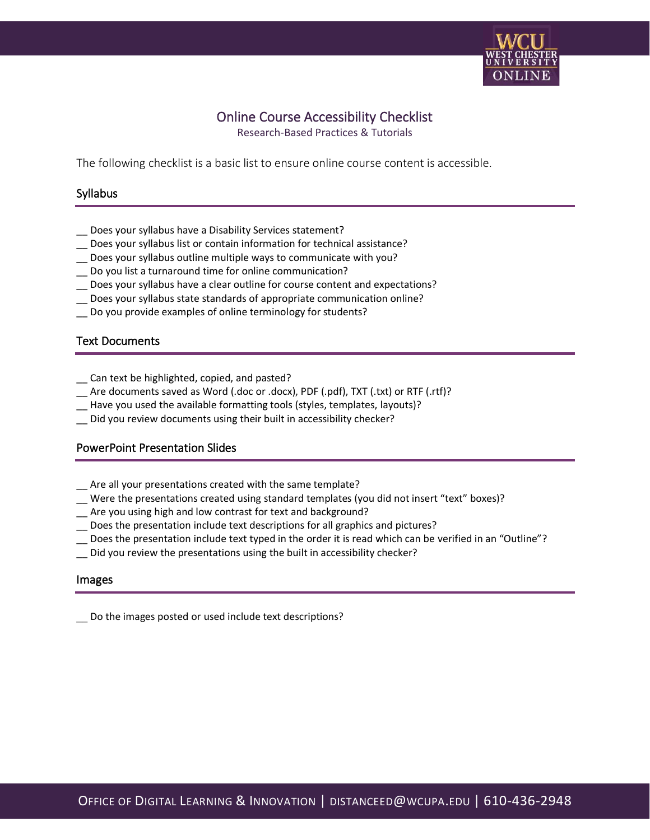

# Online Course Accessibility Checklist

Research-Based Practices & Tutorials

The following checklist is a basic list to ensure online course content is accessible.

## Syllabus

- \_\_ Does your syllabus have a Disability Services statement?
- \_\_ Does your syllabus list or contain information for technical assistance?
- \_\_ Does your syllabus outline multiple ways to communicate with you?
- \_\_ Do you list a turnaround time for online communication?
- \_\_ Does your syllabus have a clear outline for course content and expectations?
- \_\_ Does your syllabus state standards of appropriate communication online?
- \_\_ Do you provide examples of online terminology for students?

## Text Documents

- \_\_ Can text be highlighted, copied, and pasted?
- \_\_ Are documents saved as Word (.doc or .docx), PDF (.pdf), TXT (.txt) or RTF (.rtf)?
- \_\_ Have you used the available formatting tools (styles, templates, layouts)?
- \_\_ Did you review documents using their built in accessibility checker?

## PowerPoint Presentation Slides

- \_\_ Are all your presentations created with the same template?
- \_\_ Were the presentations created using standard templates (you did not insert "text" boxes)?
- \_\_ Are you using high and low contrast for text and background?
- \_\_ Does the presentation include text descriptions for all graphics and pictures?
- \_\_ Does the presentation include text typed in the order it is read which can be verified in an "Outline"?
- \_\_ Did you review the presentations using the built in accessibility checker?

#### Images

Do the images posted or used include text descriptions?